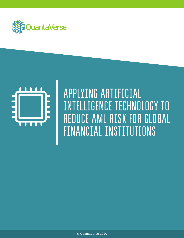



## APPLYING ARTIFICIAL INTELLIGENCE TECHNOLOGY TO REDUCE AML RISK FOR GLOBAL FINANCIAL INSTITUTIONS

© QuantaVerse 2020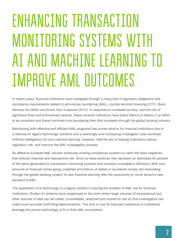# ENHANCING TRANSACTION MONITORING SYSTEMS WITH AI AND MACHINE LEARNING TO IMPROVE AML OUTCOMES

In recent years, financial institutions have navigated through a rising tide of regulatory obligations and compliance requirements related to anti-money laundering (AML), counter-terrorist financing (CTF), Bank Secrecy Act (BSA) and Know Your Customer (KYC). In response to increased scrutiny, and the risk of significant fines and enforcement actions, these covered institutions have spent billions of dollars in an effort to be compliant and thwart criminals from laundering their illicit proceeds through the global banking industry.

Maintaining both effective and efficient AML programs has proven elusive for financial institutions due to a reliance on legacy technology solutions and a seemingly ever-increasing investigator case workload. Artificial intelligence (AI) and machine learning, however, hold the key to helping institutions reduce regulatory risk, and improve the AML investigation process.

An effective AI-based AML solution enhances existing compliance systems to catch the false negatives that embody financial and reputational risk, drive out false positives that represent an estimated 95 percent of the alerts generated by transaction monitoring systems and increase investigative efficiency. With vast amounts of financial crimes going unalerted and trillions of dollars in laundered money still channeling through the global banking system, AI and machine learning offer the opportunity to move toward a new standard of AML.

The application of AI technology is a logical solution in solving the problem of AML risk for financial institutions. Modern AI systems have progressed to the point where large volumes of transactional and other sources of data can be culled, consolidated, analyzed and scored for risk so that investigators can make more accurate SAR-filing determinations. The time is now for financial institutions to confidently leverage the proven technology of AI in their AML ecosystems.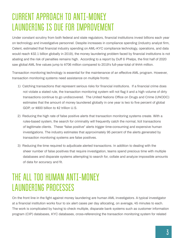#### CURRENT APPROACH TO ANTI-MONEY LAUNDERING IS DUE FOR IMPROVEMENT

Under constant scrutiny from both federal and state regulators, financial institutions invest billions each year on technology and investigative personnel. Despite increases in compliance spending (industry analyst firm, Celent, estimated that financial industry spending on AML-KYC compliance technology, operations, and data would reach \$32.1 billion globally in 2019), the money laundering problem faced by financial institutions is not abating and the risk of penalties remains high. According to a report by Duff & Phelps, the first half of 2020 saw global AML fine values jump to \$706 million compared to 2019's full-year-total of \$444 million.

Transaction monitoring technology is essential for the maintenance of an effective AML program. However, transaction monitoring systems need assistance on multiple fronts:

- 1) Catching transactions that represent serious risks for financial institutions. If a financial crime does not violate a stated rule, the transaction monitoring system will not flag it and a high volume of dirty transactions continue to go undiscovered. The United Nations Office on Drugs and Crime (UNODC) estimates that the amount of money laundered globally in one year is two to five percent of global GDP, or \$800 billion to \$2 trillion U.S.
- 2) Reducing the high rate of false positive alerts that transaction monitoring systems create. With a rules-based system, the search for criminality will frequently catch the normal, licit transactions of legitimate clients. These "false positive" alerts trigger time-consuming and expensive human investigations. The industry estimates that approximately 95 percent of the alerts generated by transaction monitoring systems are false positives.
- 3) Reducing the time required to adjudicate alerted transactions. In addition to dealing with the sheer number of false positives that require investigation, teams spend precious time with multiple databases and disparate systems attempting to search for, collate and analyze impossible amounts of data for accuracy and fit.

### THE ALL TOO HUMAN ANTI-MONEY LAUNDERING PROCESSES

On the front line in the fight against money laundering are human AML investigators. A typical investigator at a financial institution works four to six alert cases per day allocating, on average, 45 minutes to each. The work is complicated by having to check multiple, disparate bank systems such as customer information program (CIP) databases, KYC databases, cross-referencing the transaction monitoring system for related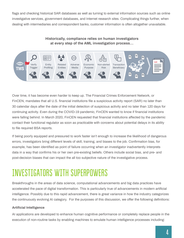flags and checking historical SAR databases as well as turning to external information sources such as online investigative services, government databases, and Internet research sites. Complicating things further, when dealing with intermediaries and correspondent banks, customer information is often altogether unavailable.

#### **Historically, compliance relies on human investigators at every step of the AML investigation process…**



Over time, it has become even harder to keep up. The Financial Crimes Enforcement Network, or FinCEN, mandates that all U.S. financial institutions file a suspicious activity report (SAR) no later than 30 calendar days after the date of the initial detection of suspicious activity and no later than 120 days for continuing activity. Even during the COVID-19 pandemic, FinCEN wanted to know if financial institutions were falling behind. In March 2020, FinCEN requested that financial institutions affected by the pandemic contact their functional regulator as soon as practicable with concerns about potential delays in its ability to file required BSA reports.

If being poorly equipped and pressured to work faster isn't enough to increase the likelihood of dangerous errors, investigators bring different levels of skill, training, and biases to the job. Confirmation bias, for example, has been identified as point of failure occurring when an investigator inadvertently interprets data in a way that confirms his or her own pre-existing beliefs. Others include social bias, and pre- and post-decision biases that can impact the all too subjective nature of the investigative process.

### INVESTIGATORS WITH SUPERPOWERS

Breakthroughs in the areas of data science, computational advancements and big data practices have accelerated the pace of digital transformation. This is particularly true of advancements in modern artificial intelligence. Possibly due to this rapid advancement, there is great variance in how the industry categorizes the continuously evolving AI category. For the purposes of this discussion, we offer the following definitions:

#### **Artificial Intelligence**

AI applications are developed to enhance human cognitive performance or completely replace people in the execution of non-routine tasks by enabling machines to emulate human intelligence processes including: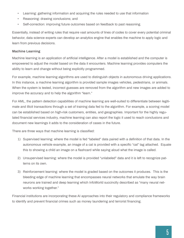- Learning: gathering information and acquiring the rules needed to use that information
- Reasoning: drawing conclusions; and
- Self-correction: improving future outcomes based on feedback to past reasoning.

Essentially, instead of writing rules that require vast amounts of lines of codes to cover every potential criminal behavior, data science experts can develop an analytics engine that enables the machine to apply logic and learn from previous decisions.

#### **Machine Learning**

Machine learning is an application of artificial intelligence. After a model is established and the computer is empowered to adjust the model based on the data it encounters. Machine learning provides computers the ability to learn and change without being explicitly programmed.

For example, machine learning algorithms are used to distinguish objects in autonomous driving applications. In this instance, a machine learning algorithm is provided sample images vehicles, pedestrians, or animals. When the system is tested, incorrect guesses are removed from the algorithm and new images are added to improve the accuracy and to help the algorithm "learn."

For AML, the pattern detection capabilities of machine learning are well-suited to differentiate between legitimate and illicit transactions through a set of training data fed to the algorithm. For example, a scoring model can be established based on high-risk customers, entities, and geographies. Important for the highly regulated financial services industry, machine learning can also report the logic it used to reach conclusions and document new learnings it adds to the consideration of cases in the future.

There are three ways that machine learning is classified:

- 1) Supervised learning: where the model is fed "labeled" data paired with a definition of that data. In the autonomous vehicle example, an image of a cat is provided with a specific "cat" tag attached. Equate this to showing a child an image on a flashcard while saying aloud what the image is called.
- 2) Unsupervised learning: where the model is provided "unlabeled" data and it is left to recognize patterns on its own.
- 3) Reinforcement learning: where the model is graded based on the outcomes it produces. This is the bleeding edge of machine learning that encompasses neural networks that emulate the way brain neurons are trained and deep learning which InfoWorld succinctly described as "many neural networks working together."

Financial institutions are incorporating these AI approaches into their regulatory and compliance frameworks to identify and prevent financial crimes such as money laundering and terrorist financing.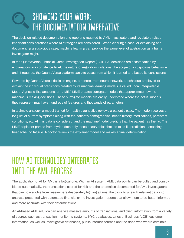### SHOWING YOUR WORK: THE DOCUMENTATION IMPERATIVE

The decision-related documentation and reporting required by AML investigators and regulators raises important considerations where AI strategies are considered. When clearing a case, or explaining and documenting a suspicious case, machine learning can provide the same level of abstraction as a human investigator might.

In the QuantaVerse Financial Crime Investigation Report (FCIR), AI decisions are accompanied by explanations – a confidence level, the nature of regulatory violations, the scope of a suspicious behavior - and, if required, the QuantaVerse platform can cite cases from which it learned and based its conclusions.

Powered by QuantaVerse's decision engine, a nonrecurrent neural network, a technique employed to explain the individual predictions created by its machine learning models is called Local Interpretable Model-Agnostic Explanations, or "LIME." LIME creates surrogate models that approximate how the machine is making decisions. These surrogate models are easily understood where the actual models they represent may have hundreds of features and thousands of parameters.

In a simple analogy, a model trained for health diagnostics reviews a patient's case. The model receives a long list of current symptoms along with the patient's demographics, health history, medications, persistent conditions, etc. All this data is considered, and the machine/model predicts that the patient has the flu. The LIME explainer parses from myriad data only those observables that led to its flu prediction – sneezing, headache, no fatigue. A doctor reviews the explainer model and makes a final determination.

#### HOW AI TECHNOLOGY INTEGRATES INTO THE AML PROCESS

The application of AI for AML is a logical one. With an AI system, AML data points can be pulled and consolidated automatically, the transactions scored for risk and the anomalies documented for AML investigators that can now evolve from researchers desperately fighting against the clock to unearth relevant data into analysts presented with automated financial crime investigation reports that allow them to be better informed and more accurate with their determinations.

An AI-based AML solution can analyze massive amounts of transactional and client information from a variety of sources such as transaction monitoring systems, KYC databases, Lines of Business (LOB) customer information, as well as investigative databases, public Internet sources and the deep web where criminals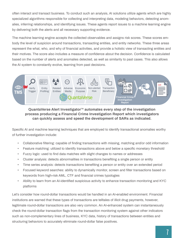often interact and transact business. To conduct such an analysis, AI solutions utilize agents which are highly specialized algorithms responsible for collecting and interpreting data, modeling behaviors, detecting anomalies, inferring relationships, and identifying issues. These agents report issues to a machine learning engine by delivering both the alerts and all necessary supporting evidence.

The machine learning engine accepts the collected observables and assigns risk scores. These scores embody the level of suspicion around transactions, transacting entities, and entity networks. These three areas represent the what, who, and why of financial activities, and provide a holistic view of transacting entities and their motives. The score also includes a measure of confidence about the decision. Confidence is calculated based on the number of alerts and anomalies detected, as well as similarity to past cases. This also allows the AI system to constantly evolve, learning from past decisions.



#### **QuantaVerse Alert InvestigatorTM automates every step of the investigation process producing a Financial Crime Investigation Report which investigators can quickly assess and speed the development of SARs as indicated.**

Specific AI and machine learning techniques that are employed to identify transactional anomalies worthy of further investigation include:

- Collaborative filtering: capable of finding transactions with missing, matching and/or odd information
- Feature matching: utilized to identify transactions above and below a specific monetary threshold
- Fuzzy logic: used to find data matches with slight changes to names or addresses
- Cluster analysis: detects abnormalities in transactions benefiting a single person or entity
- Time series analysis: detects transactions benefiting a person or entity over an extended period
- Focused keyword searches: ability to dynamically monitor, screen and filter transactions based on keywords from high-risk AML, CTF and financial crimes typologies
- Ability to learn from an AI-identified suspicious activity to enhance transaction monitoring and KYC platforms

Let's consider how round-dollar transactions would be handled in an AI-enabled environment. Financial institutions are warned that these types of transactions are telltales of illicit drug payments, however, legitimate round-dollar transactions are also very common. An AI-enhanced system can instantaneously check the round-dollar transaction flags from the transaction monitoring system against other indicators such as non-complementary lines of business, KYC data, history of transactions between entities and structuring behaviors to accurately eliminate round-dollar false positives.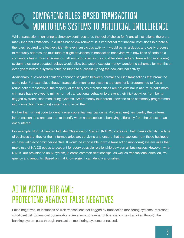### COMPARING RULES-BASED TRANSACTION MONITORING SYSTEMS TO ARTIFICIAL INTELLIGENCE

While transaction monitoring technology continues to be the tool of choice for financial institutions, there are many inherent limitations. In a rules-based environment, it is impractical for financial institutions to create all the rules required to effectively identify every suspicious activity. It would be an arduous and costly process to manually address the multitude of slight deviations in transaction behaviors with new lines of code on a continuous basis. Even if, somehow, all suspicious behaviors could be identified and transaction monitoring system rules were updated, delays would allow bad actors execute money laundering schemes for months or even years before a system could be tuned to successfully flag the new criminal activity.

Additionally, rules-based solutions cannot distinguish between normal and illicit transactions that break the same rule. For example, although transaction monitoring systems are commonly programmed to flag all round dollar transactions, the majority of these types of transactions are not criminal in nature. What's more, criminals have evolved to mimic normal transactional behavior to prevent their illicit activities from being flagged by transaction monitoring systems. Smart money launderers know the rules commonly programmed into transaction monitoring systems and avoid them.

Rather than writing code to identify every potential financial crime, AI-based engines identify the patterns in transaction data and use that to identify when a transaction is behaving differently from the others it has encountered.

For example, North American Industry Classification System (NAICS) codes can help banks identify the type of business that they or their intermediaries are servicing and ensure that transactions from those businesses have valid economic perspective. It would be impossible to write transaction monitoring system rules that make use of NAICS codes to account for every possible relationship between all businesses. However, when NAICS are provided to an AI system, it learns common relationships, as well as transactional direction, frequency and amounts. Based on that knowledge, it can identify anomalies.

#### AI IN ACTION FOR AML: PROTECTING AGAINST FALSE NEGATIVES

False negatives, or instances of illicit transactions not flagged by transaction monitoring systems, represent significant risk to financial organizations. An alarming number of financial crimes trafficked through the banking system pass through transaction monitoring systems unnoticed.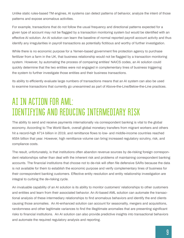Unlike static rules-based TM engines, AI systems can detect patterns of behavior, analyze the intent of those patterns and expose anomalous activities.

For example, transactions that do not follow the usual frequency and directional patterns expected for a given type of account may not be flagged by a transaction monitoring system but would be identified with an effective AI solution. An AI solution can learn the baseline of normal reported payroll account activity and thus identify any irregularities in payroll transactions as potentially fictitious and worthy of further investigation.

While there is no economic purpose for a Yemen-based government fire protection agency to purchase fertilizer from a farm in the UK, that business relationship would not be flagged by a transaction monitoring system. However, by automating the process of comparing entities' NAICS codes, an AI solution could quickly determine that the two entities were not engaged in complementary lines of business triggering the system to further investigate those entities and their business transactions.

Its ability to efficiently evaluate large numbers of transactions means that an AI system can also be used to examine transactions that currently go unexamined as part of Above-the-Line/Below-the-Line practices.

#### AI IN ACTION FOR AML: IDENTIFYING AND REDUCING INTERMEDIARY RISK

The ability to send and receive payments internationally via correspondent banking is vital to the global economy. According to The World Bank, overall global monetary transfers from migrant workers and others hit a record-high \$714 billion in 2019, and remittance flows to low- and middle-income countries reached \$554 billion that year. However, high remittance volume can bring increased regulatory scrutiny, risk, and compliance costs.

The result, unfortunately, is that institutions often abandon revenue sources by de-risking foreign correspondent relationships rather than deal with the inherent risk and problems of maintaining correspondent banking accounts. The financial institutions that choose not to de-risk will often file defensive SARs because the data is not available for them to establish the economic purpose and verify complementary lines of business for their correspondent banking customers. Effective entity resolution and entity relationship investigation are integral to curbing the de-risking cycle.

An invaluable capability of an AI solution is its ability to monitor customers' relationships to other customers and entities and learn from their associated behavior. An AI-based AML solution can automate the transactional analysis of these intermediary relationships to find anomalous behaviors and identify the end clients causing those anomalies. An AI-enhanced solution can account for seasonality, mergers and acquisitions, randomness and other legitimate variances to find the illegitimate anomalies that are presenting significant risks to financial institutions. An AI solution can also provide predictive insights into transactional behaviors and automate the required regulatory analysis and reporting.